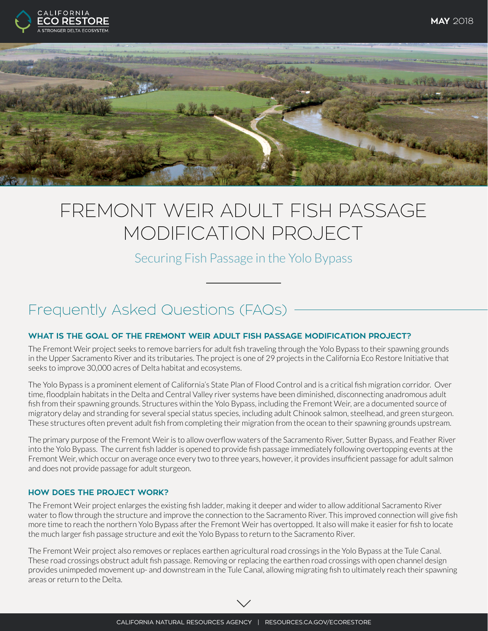



# FREMONT WEIR ADULT FISH PASSAGE MODIFICATION PROJECT

Securing Fish Passage in the Yolo Bypass

# Frequently Asked Questions (FAQs)

# **WHAT IS THE GOAL OF THE FREMONT WEIR ADULT FISH PASSAGE MODIFICATION PROJECT?**

The Fremont Weir project seeks to remove barriers for adult fish traveling through the Yolo Bypass to their spawning grounds in the Upper Sacramento River and its tributaries. The project is one of 29 projects in the California Eco Restore Initiative that seeks to improve 30,000 acres of Delta habitat and ecosystems.

The Yolo Bypass is a prominent element of California's State Plan of Flood Control and is a critical fish migration corridor. Over time, floodplain habitats in the Delta and Central Valley river systems have been diminished, disconnecting anadromous adult fish from their spawning grounds. Structures within the Yolo Bypass, including the Fremont Weir, are a documented source of migratory delay and stranding for several special status species, including adult Chinook salmon, steelhead, and green sturgeon. These structures often prevent adult fish from completing their migration from the ocean to their spawning grounds upstream.

The primary purpose of the Fremont Weir is to allow overflow waters of the Sacramento River, Sutter Bypass, and Feather River into the Yolo Bypass. The current fish ladder is opened to provide fish passage immediately following overtopping events at the Fremont Weir, which occur on average once every two to three years, however, it provides insufficient passage for adult salmon and does not provide passage for adult sturgeon.

## **HOW DOES THE PROJECT WORK?**

The Fremont Weir project enlarges the existing fish ladder, making it deeper and wider to allow additional Sacramento River water to flow through the structure and improve the connection to the Sacramento River. This improved connection will give fish more time to reach the northern Yolo Bypass after the Fremont Weir has overtopped. It also will make it easier for fish to locate the much larger fish passage structure and exit the Yolo Bypass to return to the Sacramento River.

The Fremont Weir project also removes or replaces earthen agricultural road crossings in the Yolo Bypass at the Tule Canal. These road crossings obstruct adult fish passage. Removing or replacing the earthen road crossings with open channel design provides unimpeded movement up- and downstream in the Tule Canal, allowing migrating fish to ultimately reach their spawning areas or return to the Delta.

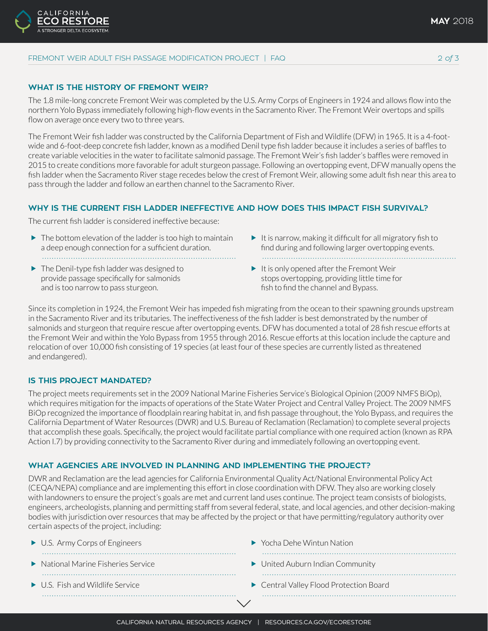## **WHAT IS THE HISTORY OF FREMONT WEIR?**

**ALIFORNIA** 

The 1.8 mile-long concrete Fremont Weir was completed by the U.S. Army Corps of Engineers in 1924 and allows flow into the northern Yolo Bypass immediately following high-flow events in the Sacramento River. The Fremont Weir overtops and spills flow on average once every two to three years.

The Fremont Weir fish ladder was constructed by the California Department of Fish and Wildlife (DFW) in 1965. It is a 4-footwide and 6-foot-deep concrete fish ladder, known as a modified Denil type fish ladder because it includes a series of baffles to create variable velocities in the water to facilitate salmonid passage. The Fremont Weir's fish ladder's baffles were removed in 2015 to create conditions more favorable for adult sturgeon passage. Following an overtopping event, DFW manually opens the fish ladder when the Sacramento River stage recedes below the crest of Fremont Weir, allowing some adult fish near this area to pass through the ladder and follow an earthen channel to the Sacramento River.

#### **WHY IS THE CURRENT FISH LADDER INEFFECTIVE AND HOW DOES THIS IMPACT FISH SURVIVAL?**

The current fish ladder is considered ineffective because:

- $\blacktriangleright$  The bottom elevation of the ladder is too high to maintain a deep enough connection for a sufficient duration.
- $\blacktriangleright$  The Denil-type fish ladder was designed to provide passage specifically for salmonids and is too narrow to pass sturgeon.
- $\blacktriangleright$  It is narrow, making it difficult for all migratory fish to find during and following larger overtopping events.
- $\blacktriangleright$  It is only opened after the Fremont Weir stops overtopping, providing little time for fish to find the channel and Bypass.

Since its completion in 1924, the Fremont Weir has impeded fish migrating from the ocean to their spawning grounds upstream in the Sacramento River and its tributaries. The ineffectiveness of the fish ladder is best demonstrated by the number of salmonids and sturgeon that require rescue after overtopping events. DFW has documented a total of 28 fish rescue efforts at the Fremont Weir and within the Yolo Bypass from 1955 through 2016. Rescue efforts at this location include the capture and relocation of over 10,000 fish consisting of 19 species (at least four of these species are currently listed as threatened and endangered).

#### **IS THIS PROJECT MANDATED?**

The project meets requirements set in the 2009 National Marine Fisheries Service's Biological Opinion (2009 NMFS BiOp), which requires mitigation for the impacts of operations of the State Water Project and Central Valley Project. The 2009 NMFS BiOp recognized the importance of floodplain rearing habitat in, and fish passage throughout, the Yolo Bypass, and requires the California Department of Water Resources (DWR) and U.S. Bureau of Reclamation (Reclamation) to complete several projects that accomplish these goals. Specifically, the project would facilitate partial compliance with one required action (known as RPA Action I.7) by providing connectivity to the Sacramento River during and immediately following an overtopping event.

### **WHAT AGENCIES ARE INVOLVED IN PLANNING AND IMPLEMENTING THE PROJECT?**

DWR and Reclamation are the lead agencies for California Environmental Quality Act/National Environmental Policy Act (CEQA/NEPA) compliance and are implementing this effort in close coordination with DFW. They also are working closely with landowners to ensure the project's goals are met and current land uses continue. The project team consists of biologists, engineers, archeologists, planning and permitting staff from several federal, state, and local agencies, and other decision-making bodies with jurisdiction over resources that may be affected by the project or that have permitting/regulatory authority over certain aspects of the project, including:

| $\triangleright$ U.S. Army Corps of Engineers           | $\blacktriangleright$ Yocha Dehe Wintun Nation       |
|---------------------------------------------------------|------------------------------------------------------|
| $\blacktriangleright$ National Marine Fisheries Service | $\blacktriangleright$ United Auburn Indian Community |
| $\blacktriangleright$ U.S. Fish and Wildlife Service    | Central Valley Flood Protection Board                |